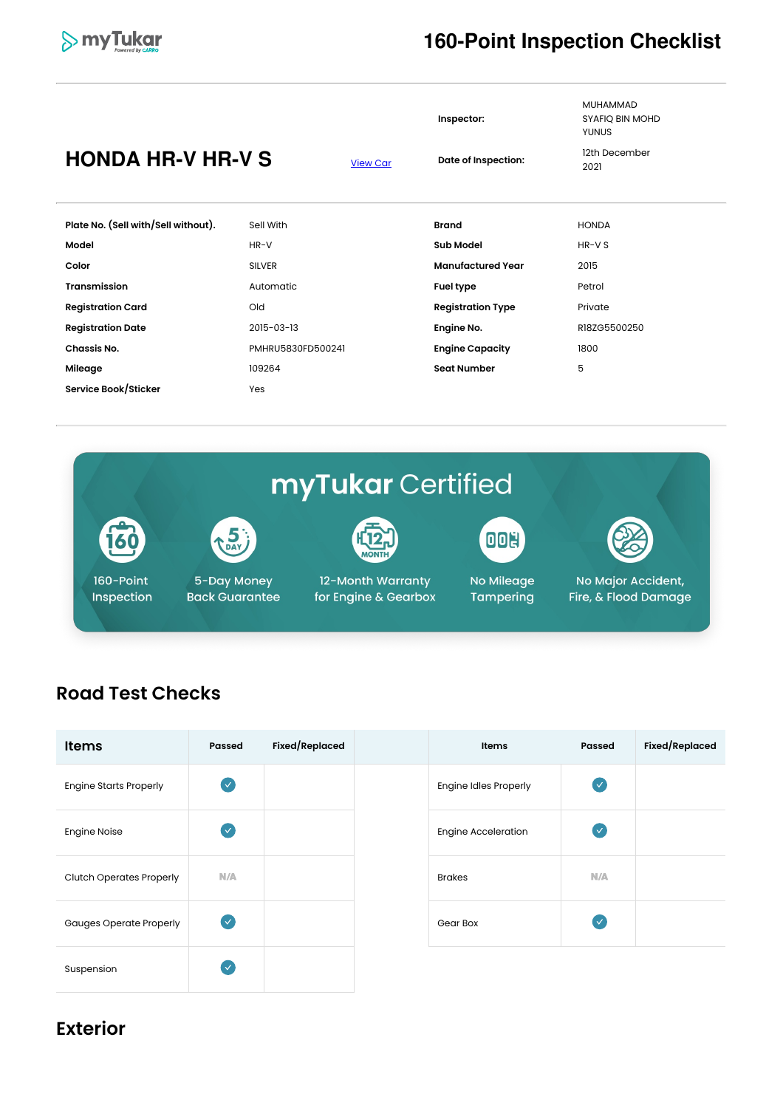

#### **160-Point Inspection Checklist**

|                                     |                   |                 | Inspector:               | <b>MUHAMMAD</b><br>SYAFIQ BIN MOHD<br><b>YUNUS</b> |  |
|-------------------------------------|-------------------|-----------------|--------------------------|----------------------------------------------------|--|
| <b>HONDA HR-V HR-V S</b>            |                   | <b>View Car</b> | Date of Inspection:      | 12th December<br>2021                              |  |
| Plate No. (Sell with/Sell without). | Sell With         |                 | <b>Brand</b>             | <b>HONDA</b>                                       |  |
| Model                               | $HR-V$            |                 | <b>Sub Model</b>         | HR-V S                                             |  |
| Color                               | <b>SILVER</b>     |                 | <b>Manufactured Year</b> | 2015                                               |  |
| <b>Transmission</b>                 | Automatic         |                 | <b>Fuel type</b>         | Petrol                                             |  |
| <b>Registration Card</b>            | Old               |                 | <b>Registration Type</b> | Private                                            |  |
| <b>Registration Date</b>            | 2015-03-13        |                 | Engine No.               | R18ZG5500250                                       |  |
| Chassis No.                         | PMHRU5830FD500241 |                 | <b>Engine Capacity</b>   | 1800                                               |  |
| Mileage                             | 109264            |                 | <b>Seat Number</b>       | 5                                                  |  |
| Service Book/Sticker                | Yes               |                 |                          |                                                    |  |



#### **Road Test Checks**

| <b>Items</b>                    | <b>Passed</b> | Fixed/Replaced | Items                        | <b>Passed</b> | Fixed/Replaced |
|---------------------------------|---------------|----------------|------------------------------|---------------|----------------|
| <b>Engine Starts Properly</b>   | $\bullet$     |                | <b>Engine Idles Properly</b> | $\bullet$     |                |
| <b>Engine Noise</b>             | $\sqrt{}$     |                | <b>Engine Acceleration</b>   | $\bullet$     |                |
| <b>Clutch Operates Properly</b> | N/A           |                | <b>Brakes</b>                | N/A           |                |
| <b>Gauges Operate Properly</b>  | $\sqrt{}$     |                | Gear Box                     | $(\vee$       |                |
| Suspension                      | $\checkmark$  |                |                              |               |                |

#### **Exterior**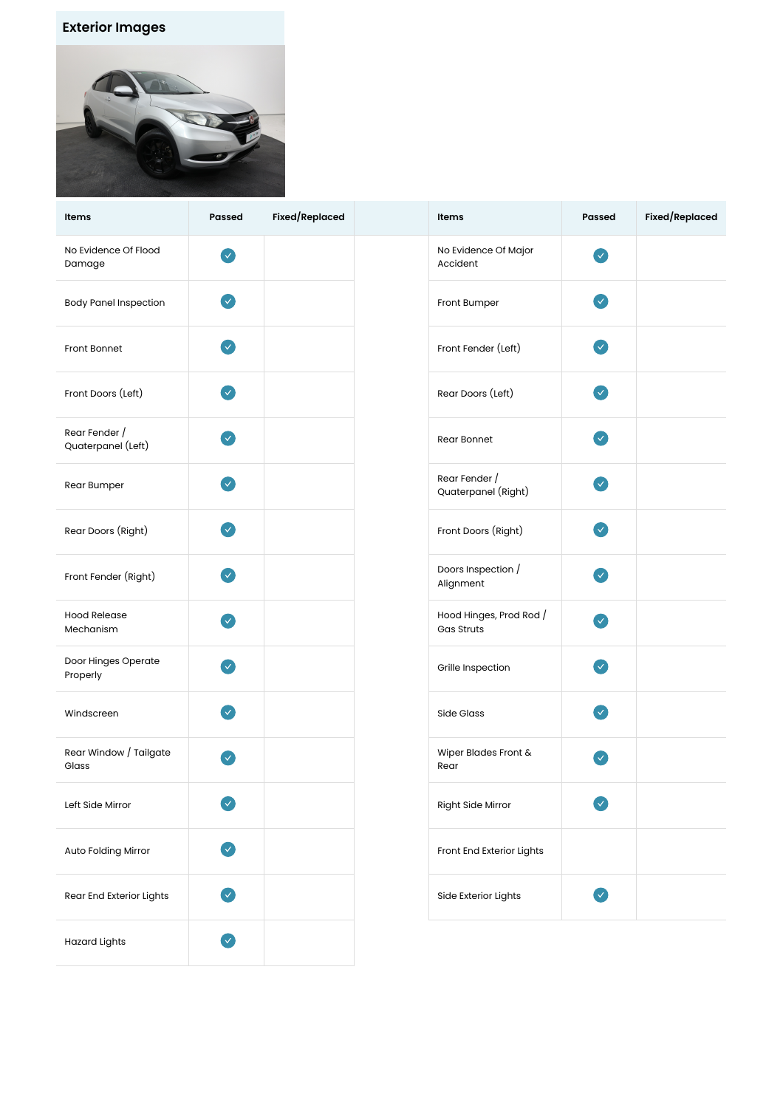#### **Exterior Images**



| Items                               | Passed                     | Fixed/Replaced | Items                                        | <b>Passed</b>         | Fixed/Replaced |
|-------------------------------------|----------------------------|----------------|----------------------------------------------|-----------------------|----------------|
| No Evidence Of Flood<br>Damage      | $\checkmark$               |                | No Evidence Of Major<br>Accident             | $\bullet$             |                |
| <b>Body Panel Inspection</b>        | $\mathcal{A}$              |                | Front Bumper                                 | $\blacktriangledown$  |                |
| Front Bonnet                        | $\checkmark$               |                | Front Fender (Left)                          | $\bullet$             |                |
| Front Doors (Left)                  | $\checkmark$               |                | Rear Doors (Left)                            | $\bullet$             |                |
| Rear Fender /<br>Quaterpanel (Left) | $\boldsymbol{\mathcal{L}}$ |                | Rear Bonnet                                  | $\blacktriangledown$  |                |
| Rear Bumper                         | $\blacktriangledown$       |                | Rear Fender /<br>Quaterpanel (Right)         | Ø                     |                |
| Rear Doors (Right)                  | $\mathbf{v}$               |                | Front Doors (Right)                          | $\blacktriangledown$  |                |
| Front Fender (Right)                | $\checkmark$               |                | Doors Inspection /<br>Alignment              | $\boldsymbol{\Omega}$ |                |
| <b>Hood Release</b><br>Mechanism    | $\checkmark$               |                | Hood Hinges, Prod Rod /<br><b>Gas Struts</b> | $\boldsymbol{\Omega}$ |                |
| Door Hinges Operate<br>Properly     | $\checkmark$               |                | Grille Inspection                            | $\mathcal{A}$         |                |
| Windscreen                          | $\checkmark$               |                | Side Glass                                   | $\blacktriangledown$  |                |
| Rear Window / Tailgate<br>Glass     | $\checkmark$               |                | Wiper Blades Front &<br>Rear                 | ✓                     |                |
| Left Side Mirror                    | Ø                          |                | Right Side Mirror                            | Y)                    |                |
| Auto Folding Mirror                 | Ø                          |                | Front End Exterior Lights                    |                       |                |
| Rear End Exterior Lights            | $\checkmark$               |                | Side Exterior Lights                         | $\bullet$             |                |
| <b>Hazard Lights</b>                | Ø                          |                |                                              |                       |                |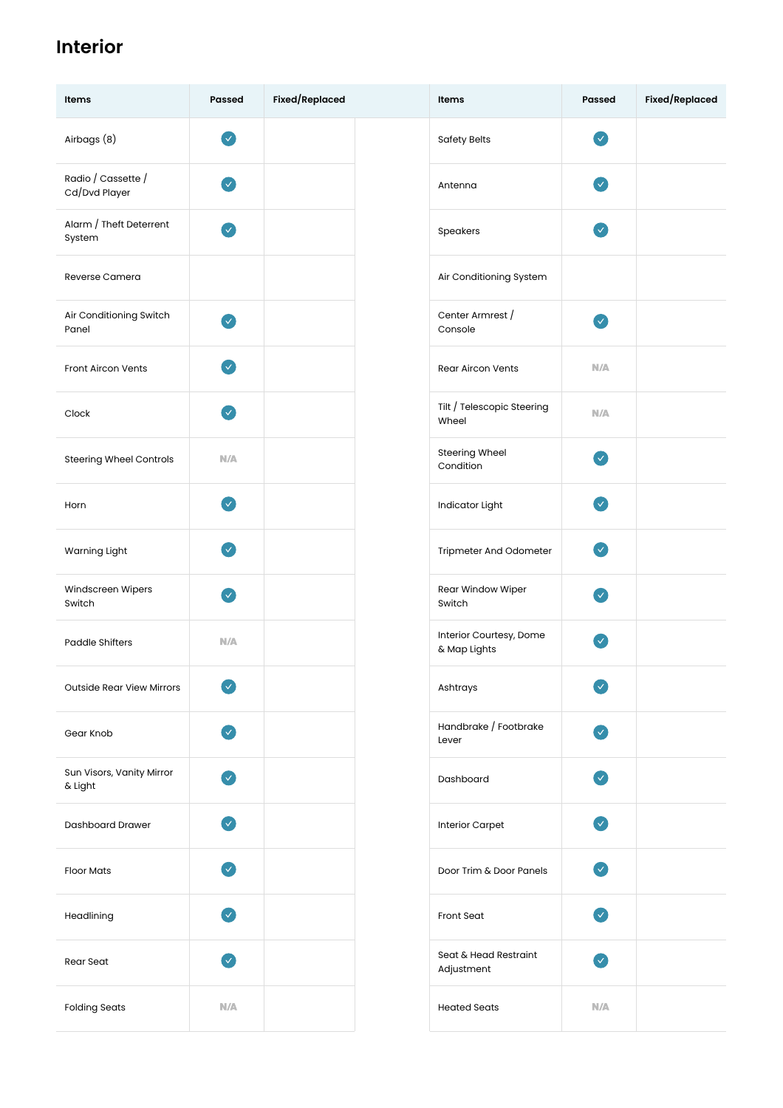### **Interior**

| Items                                | <b>Passed</b>              | Fixed/Replaced | Items                                   | <b>Passed</b>                      | Fixed/Replaced |
|--------------------------------------|----------------------------|----------------|-----------------------------------------|------------------------------------|----------------|
| Airbags (8)                          | $\bullet$                  |                | <b>Safety Belts</b>                     | $\bullet$                          |                |
| Radio / Cassette /<br>Cd/Dvd Player  | $\bullet$                  |                | Antenna                                 | $\sim$                             |                |
| Alarm / Theft Deterrent<br>System    | $\blacktriangledown$       |                | Speakers                                | $\mathcal{A}$                      |                |
| Reverse Camera                       |                            |                | Air Conditioning System                 |                                    |                |
| Air Conditioning Switch<br>Panel     | $\mathbf{v}$               |                | Center Armrest /<br>Console             | $\bullet$                          |                |
| Front Aircon Vents                   | $\boldsymbol{\mathcal{L}}$ |                | <b>Rear Aircon Vents</b>                | N/A                                |                |
| Clock                                | $\boldsymbol{\mathcal{A}}$ |                | Tilt / Telescopic Steering<br>Wheel     | N/A                                |                |
| <b>Steering Wheel Controls</b>       | N/A                        |                | Steering Wheel<br>Condition             | $\bullet$                          |                |
| Horn                                 | $\blacktriangledown$       |                | Indicator Light                         | $\blacktriangledown$               |                |
| Warning Light                        | $\mathcal{L}$              |                | Tripmeter And Odometer                  | $\bullet$                          |                |
| Windscreen Wipers<br>Switch          | $\boldsymbol{\mathcal{A}}$ |                | Rear Window Wiper<br>Switch             | $\bullet$                          |                |
| <b>Paddle Shifters</b>               | N/A                        |                | Interior Courtesy, Dome<br>& Map Lights | $\checkmark$                       |                |
| <b>Outside Rear View Mirrors</b>     | $\boldsymbol{\Omega}$      |                | Ashtrays                                | $\bullet$                          |                |
| Gear Knob                            | $\bullet$                  |                | Handbrake / Footbrake<br>Lever          | $\bullet$                          |                |
| Sun Visors, Vanity Mirror<br>& Light | Ø                          |                | Dashboard                               | $\bullet$                          |                |
| <b>Dashboard Drawer</b>              | Ø                          |                | <b>Interior Carpet</b>                  | $\bullet$                          |                |
| <b>Floor Mats</b>                    | $\blacktriangledown$       |                | Door Trim & Door Panels                 | $\sim$                             |                |
| Headlining                           | $\blacktriangledown$       |                | <b>Front Seat</b>                       | $\bullet$                          |                |
| Rear Seat                            | $\vee$                     |                | Seat & Head Restraint<br>Adjustment     | $\left\vert \mathbf{v}\right\vert$ |                |
| <b>Folding Seats</b>                 | N/A                        |                | <b>Heated Seats</b>                     | N/A                                |                |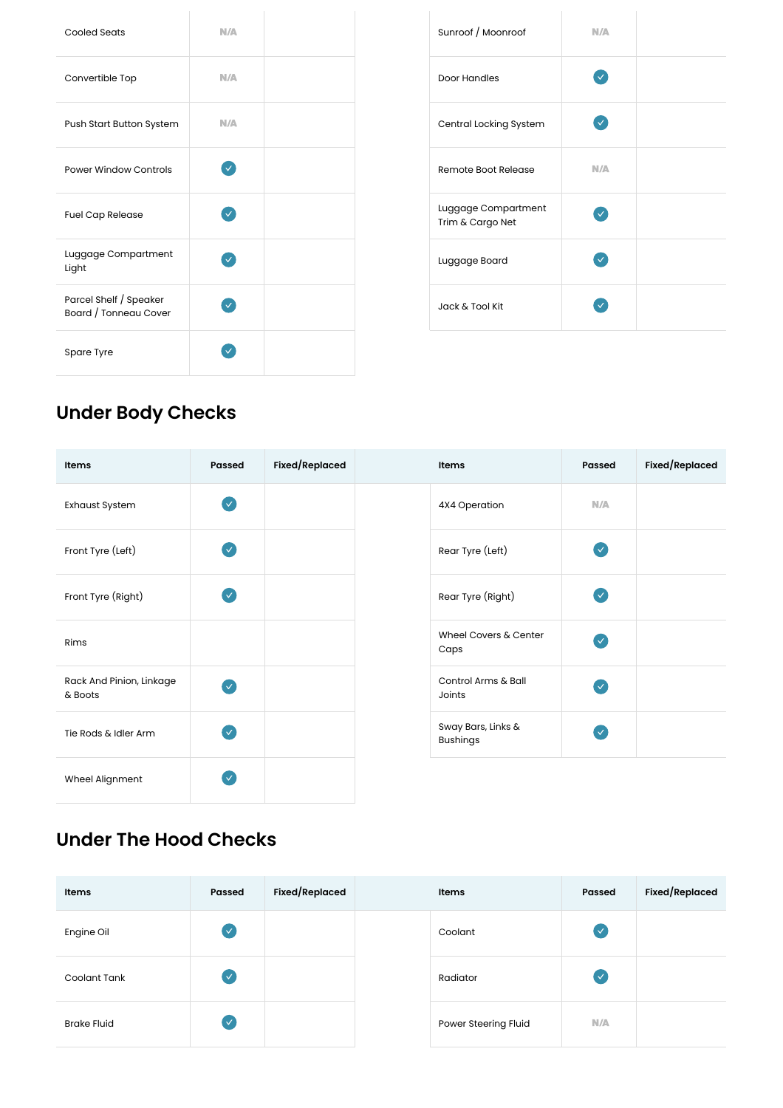| <b>Cooled Seats</b>                             | N/A          |  | Sunroof / Moonroof                      |
|-------------------------------------------------|--------------|--|-----------------------------------------|
| Convertible Top                                 | N/A          |  | Door Handles                            |
| Push Start Button System                        | N/A          |  | Central Locking System                  |
| <b>Power Window Controls</b>                    | $\checkmark$ |  | Remote Boot Release                     |
| <b>Fuel Cap Release</b>                         | $\checkmark$ |  | Luggage Compartment<br>Trim & Cargo Net |
| Luggage Compartment<br>Light                    | $\checkmark$ |  | Luggage Board                           |
| Parcel Shelf / Speaker<br>Board / Tonneau Cover | $\checkmark$ |  | Jack & Tool Kit                         |
| Spare Tyre                                      |              |  |                                         |

| Sunroof / Moonroof                      | N/A          |  |
|-----------------------------------------|--------------|--|
| Door Handles                            | $\checkmark$ |  |
| Central Locking System                  | $\checkmark$ |  |
| Remote Boot Release                     | N/A          |  |
| Luggage Compartment<br>Trim & Cargo Net |              |  |
| Luggage Board                           |              |  |
| Jack & Tool Kit                         |              |  |

# **Under Body Checks**

| Items                               | Passed        | Fixed/Replaced | Items                                 | Passed                   | Fixed/Replaced |
|-------------------------------------|---------------|----------------|---------------------------------------|--------------------------|----------------|
| <b>Exhaust System</b>               | V             |                | 4X4 Operation                         | N/A                      |                |
| Front Tyre (Left)                   | $\mathcal{L}$ |                | Rear Tyre (Left)                      | $\overline{\mathcal{S}}$ |                |
| Front Tyre (Right)                  | V             |                | Rear Tyre (Right)                     | $\overline{\vee}$        |                |
| Rims                                |               |                | Wheel Covers & Center<br>Caps         | $\overline{\mathcal{S}}$ |                |
| Rack And Pinion, Linkage<br>& Boots | V             |                | Control Arms & Ball<br>Joints         | (V                       |                |
| Tie Rods & Idler Arm                | V             |                | Sway Bars, Links &<br><b>Bushings</b> | $\overline{\vee}$        |                |
| Wheel Alignment                     |               |                |                                       |                          |                |

#### **Under The Hood Checks**

| Items              | Passed         | Fixed/Replaced | Items                | Passed                     | <b>Fixed/Replaced</b> |
|--------------------|----------------|----------------|----------------------|----------------------------|-----------------------|
| Engine Oil         | $(\vee$        |                | Coolant              | $\left( \mathbf{v}\right)$ |                       |
| Coolant Tank       | $(\checkmark)$ |                | Radiator             | $\overline{\mathbf{v}}$    |                       |
| <b>Brake Fluid</b> | $(\vee$        |                | Power Steering Fluid | N/A                        |                       |

| <b>Items</b>         | Passed       | <b>Fixed/Replaced</b> |
|----------------------|--------------|-----------------------|
| Coolant              | $\checkmark$ |                       |
| Radiator             | $\checkmark$ |                       |
| Power Steering Fluid | N/A          |                       |